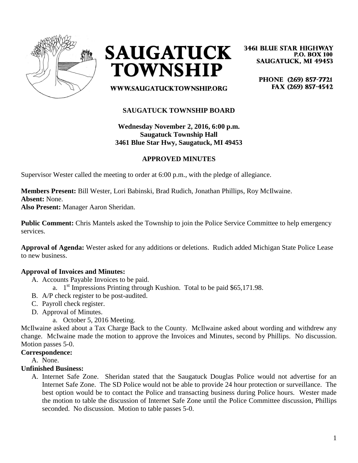



**3461 BLUE STAR HIGHWAY P.O. BOX 100 SAUGATUCK, MI 49453** 

> PHONE (269) 857-7721 FAX (269) 857-4542

WWW.SAUGATUCKTOWNSHIP.ORG

# **SAUGATUCK TOWNSHIP BOARD**

**Wednesday November 2, 2016, 6:00 p.m. Saugatuck Township Hall 3461 Blue Star Hwy, Saugatuck, MI 49453**

# **APPROVED MINUTES**

Supervisor Wester called the meeting to order at 6:00 p.m., with the pledge of allegiance.

**Members Present:** Bill Wester, Lori Babinski, Brad Rudich, Jonathan Phillips, Roy McIlwaine. **Absent:** None.

**Also Present:** Manager Aaron Sheridan.

**Public Comment:** Chris Mantels asked the Township to join the Police Service Committee to help emergency services.

**Approval of Agenda:** Wester asked for any additions or deletions. Rudich added Michigan State Police Lease to new business.

### **Approval of Invoices and Minutes:**

- A. Accounts Payable Invoices to be paid.
	- a. 1<sup>st</sup> Impressions Printing through Kushion. Total to be paid \$65,171.98.
- B. A/P check register to be post-audited.
- C. Payroll check register.
- D. Approval of Minutes.
	- a. October 5, 2016 Meeting.

McIlwaine asked about a Tax Charge Back to the County. McIlwaine asked about wording and withdrew any change. McIwaine made the motion to approve the Invoices and Minutes, second by Phillips. No discussion. Motion passes 5-0.

### **Correspondence:**

A. None.

### **Unfinished Business:**

A. Internet Safe Zone. Sheridan stated that the Saugatuck Douglas Police would not advertise for an Internet Safe Zone. The SD Police would not be able to provide 24 hour protection or surveillance. The best option would be to contact the Police and transacting business during Police hours. Wester made the motion to table the discussion of Internet Safe Zone until the Police Committee discussion, Phillips seconded. No discussion. Motion to table passes 5-0.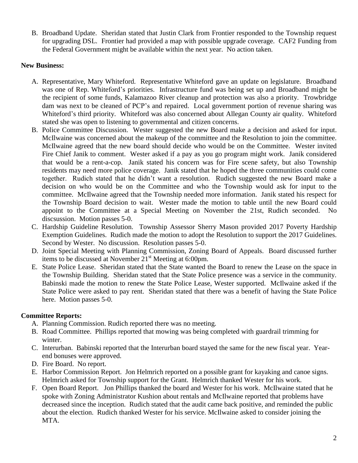B. Broadband Update. Sheridan stated that Justin Clark from Frontier responded to the Township request for upgrading DSL. Frontier had provided a map with possible upgrade coverage. CAF2 Funding from the Federal Government might be available within the next year. No action taken.

## **New Business:**

- A. Representative, Mary Whiteford. Representative Whiteford gave an update on legislature. Broadband was one of Rep. Whiteford's priorities. Infrastructure fund was being set up and Broadband might be the recipient of some funds, Kalamazoo River cleanup and protection was also a priority. Trowbridge dam was next to be cleaned of PCP's and repaired. Local government portion of revenue sharing was Whiteford's third priority. Whiteford was also concerned about Allegan County air quality. Whiteford stated she was open to listening to governmental and citizen concerns.
- B. Police Committee Discussion. Wester suggested the new Board make a decision and asked for input. McIlwaine was concerned about the makeup of the committee and the Resolution to join the committee. McIlwaine agreed that the new board should decide who would be on the Committee. Wester invited Fire Chief Janik to comment. Wester asked if a pay as you go program might work. Janik considered that would be a rent-a-cop. Janik stated his concern was for Fire scene safety, but also Township residents may need more police coverage. Janik stated that he hoped the three communities could come together. Rudich stated that he didn't want a resolution. Rudich suggested the new Board make a decision on who would be on the Committee and who the Township would ask for input to the committee. McIlwaine agreed that the Township needed more information. Janik stated his respect for the Township Board decision to wait. Wester made the motion to table until the new Board could appoint to the Committee at a Special Meeting on November the 21st, Rudich seconded. No discsussion. Motion passes 5-0.
- C. Hardship Guideline Resolution. Township Assessor Sherry Mason provided 2017 Poverty Hardship Exemption Guidelines. Rudich made the motion to adopt the Resolution to support the 2017 Guidelines. Second by Wester. No discussion. Resolution passes 5-0.
- D. Joint Special Meeting with Planning Commission, Zoning Board of Appeals. Board discussed further items to be discussed at November  $21<sup>st</sup>$  Meeting at 6:00pm.
- E. State Police Lease. Sheridan stated that the State wanted the Board to renew the Lease on the space in the Township Building. Sheridan stated that the State Police presence was a service in the community. Babinski made the motion to renew the State Police Lease, Wester supported. McIlwaine asked if the State Police were asked to pay rent. Sheridan stated that there was a benefit of having the State Police here. Motion passes 5-0.

### **Committee Reports:**

- A. Planning Commission. Rudich reported there was no meeting.
- B. Road Committee. Phillips reported that mowing was being completed with guardrail trimming for winter.
- C. Interurban. Babinski reported that the Interurban board stayed the same for the new fiscal year. Yearend bonuses were approved.
- D. Fire Board. No report.
- E. Harbor Commission Report. Jon Helmrich reported on a possible grant for kayaking and canoe signs. Helmrich asked for Township support for the Grant. Helmrich thanked Wester for his work.
- F. Open Board Report. Jon Phillips thanked the board and Wester for his work. McIlwaine stated that he spoke with Zoning Administrator Kushion about rentals and McIlwaine reported that problems have decreased since the inception. Rudich stated that the audit came back positive, and reminded the public about the election. Rudich thanked Wester for his service. McIlwaine asked to consider joining the MTA.